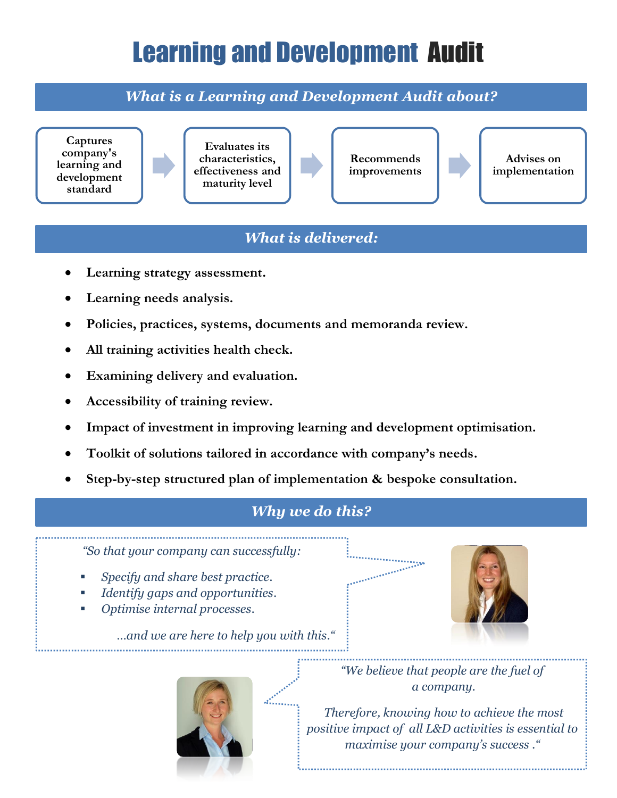## Learning and Development Audit

*What is a Learning and Development Audit about?*



## *What is delivered:*

- **Learning strategy assessment.**
- **Learning needs analysis.**
- **Policies, practices, systems, documents and memoranda review.**
- **All training activities health check.**
- **Examining delivery and evaluation.**
- **Accessibility of training review.**
- **Impact of investment in improving learning and development optimisation.**
- **Toolkit of solutions tailored in accordance with company's needs.**
- **Step-by-step structured plan of implementation & bespoke consultation.**

## *<i>Why we do this?*

*"So that your company can successfully:*

- *Specify and share best practice.*
- *Identify gaps and opportunities.*
- *Optimise internal processes.*

*…and we are here to help you with this."* 



*"We believe that people are the fuel of a company.*

**STATISTICS** 

*Therefore, knowing how to achieve the most positive impact of all L&D activities is essential to maximise your company's success ."*